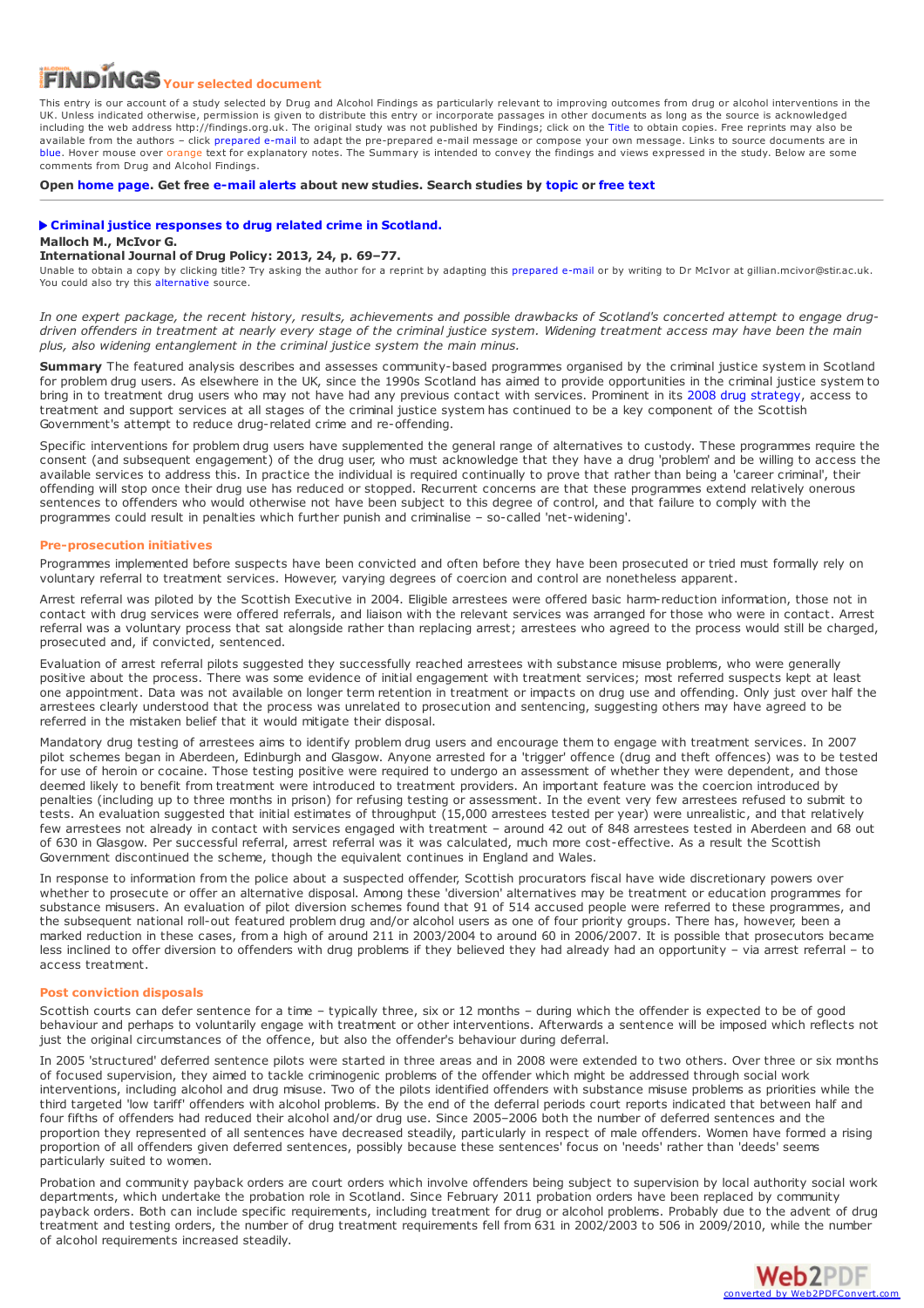# **Your selected document**

This entry is our account of a study selected by Drug and Alcohol Findings as particularly relevant to improving outcomes from drug or alcohol interventions in the UK. Unless indicated otherwise, permission is given to distribute this entry or incorporate passages in other documents as long as the source is acknowledged including the web address http://findings.org.uk. The original study was not published by Findings; click on the Title to obtain copies. Free reprints may also be available from the authors – click prepared e-mail to adapt the pre-prepared e-mail message or compose your own message. Links to source documents are in blue. Hover mouse over orange text for explanatory notes. The Summary is intended to convey the findings and views expressed in the study. Below are some comments from Drug and Alcohol Findings.

**Open [home](https://findings.org.uk/index.php) page. Get free [e-mail](https://findings.org.uk/index.php#signUp) alerts about new studies. Search studies by [topic](https://findings.org.uk/topic_search.htm) or [free](https://findings.org.uk/free_search.htm) text**

## **Criminal justice [responses](http://dx.doi.org/10.1016/j.drugpo.2012.06.001) to drug related crime in Scotland. Malloch M., McIvor G.**

### **International Journal of Drug Policy: 2013, 24, p. 69–77.**

Unable to obtain a copy by clicking title? Try asking the author for a reprint by adapting this [prepared](mailto:gillian.mcivor@stir.ac.uk?Subject=Reprint request&body=Dear Dr McIvor%0A%0AOn the Drug and Alcohol Findings web site (https://findings.org.uk) I read about your article:%0AMalloch M., McIvor G. Criminal justice responses to drug related crime in Scotland. International Journal of Drug Policy: 2013, 24, p. 69-77.%0A%0AWould it be possible to for me to be sent a PDF reprint or the manuscript by replying to this e-mail?%0A) e-mail or by writing to Dr McIvor at gillian.mcivor@stir.ac.uk. You could also try this [alternative](https://dspace.stir.ac.uk/bitstream/1893/11358/1/cj_responses_to_drug_related_crime with abstract.pdf) source.

In one expert package, the recent history, results, achievements and possible drawbacks of Scotland's concerted attempt to engage drugdriven offenders in treatment at nearly every stage of the criminal justice system. Widening treatment access may have been the main *plus, also widening entanglement in the criminal justice system the main minus.*

**Summary** The featured analysis describes and assesses community-based programmes organised by the criminal justice system in Scotland for problem drug users. As elsewhere in the UK, since the 1990s Scotland has aimed to provide opportunities in the criminal justice system to bring in to treatment drug users who may not have had any previous contact with services. Prominent in its 2008 drug [strategy](http://www.scotland.gov.uk/Publications/2008/05/22161610/0), access to treatment and support services at all stages of the criminal justice system has continued to be a key component of the Scottish Government's attempt to reduce drug-related crime and re-offending.

Specific interventions for problem drug users have supplemented the general range of alternatives to custody. These programmes require the consent (and subsequent engagement) of the drug user, who must acknowledge that they have a drug 'problem' and be willing to access the available services to address this. In practice the individual is required continually to prove that rather than being a 'career criminal', their offending will stop once their drug use has reduced or stopped. Recurrent concerns are that these programmes extend relatively onerous sentences to offenders who would otherwise not have been subject to this degree of control, and that failure to comply with the programmes could result in penalties which further punish and criminalise – so-called 'net-widening'.

## **Pre-prosecution initiatives**

Programmes implemented before suspects have been convicted and often before they have been prosecuted or tried must formally rely on voluntary referral to treatment services. However, varying degrees of coercion and control are nonetheless apparent.

Arrest referral was piloted by the Scottish Executive in 2004. Eligible arrestees were offered basic harm-reduction information, those not in contact with drug services were offered referrals, and liaison with the relevant services was arranged for those who were in contact. Arrest referral was a voluntary process that sat alongside rather than replacing arrest; arrestees who agreed to the process would still be charged, prosecuted and, if convicted, sentenced.

Evaluation of arrest referral pilots suggested they successfully reached arrestees with substance misuse problems, who were generally positive about the process. There was some evidence of initial engagement with treatment services; most referred suspects kept at least one appointment. Data was not available on longer term retention in treatment or impacts on drug use and offending. Only just over half the arrestees clearly understood that the process was unrelated to prosecution and sentencing, suggesting others may have agreed to be referred in the mistaken belief that it would mitigate their disposal.

Mandatory drug testing of arrestees aims to identify problem drug users and encourage them to engage with treatment services. In 2007 pilot schemes began in Aberdeen, Edinburgh and Glasgow. Anyone arrested for a 'trigger' offence (drug and theft offences) was to be tested for use of heroin or cocaine. Those testing positive were required to undergo an assessment of whether they were dependent, and those deemed likely to benefit from treatment were introduced to treatment providers. An important feature was the coercion introduced by penalties (including up to three months in prison) for refusing testing or assessment. In the event very few arrestees refused to submit to tests. An evaluation suggested that initial estimates of throughput (15,000 arrestees tested per year) were unrealistic, and that relatively few arrestees not already in contact with services engaged with treatment – around 42 out of 848 arrestees tested in Aberdeen and 68 out of 630 in Glasgow. Per successful referral, arrest referral was it was calculated, much more cost-effective. As a result the Scottish Government discontinued the scheme, though the equivalent continues in England and Wales.

In response to information from the police about a suspected offender, Scottish procurators fiscal have wide discretionary powers over whether to prosecute or offer an alternative disposal. Among these 'diversion' alternatives may be treatment or education programmes for substance misusers. An evaluation of pilot diversion schemes found that 91 of 514 accused people were referred to these programmes, and the subsequent national roll-out featured problem drug and/or alcohol users as one of four priority groups. There has, however, been a marked reduction in these cases, from a high of around 211 in 2003/2004 to around 60 in 2006/2007. It is possible that prosecutors became less inclined to offer diversion to offenders with drug problems if they believed they had already had an opportunity – via arrest referral – to access treatment.

# **Post conviction disposals**

Scottish courts can defer sentence for a time – typically three, six or 12 months – during which the offender is expected to be of good behaviour and perhaps to voluntarily engage with treatment or other interventions. Afterwards a sentence will be imposed which reflects not just the original circumstances of the offence, but also the offender's behaviour during deferral.

In 2005 'structured' deferred sentence pilots were started in three areas and in 2008 were extended to two others. Over three or six months of focused supervision, they aimed to tackle criminogenic problems of the offender which might be addressed through social work interventions, including alcohol and drug misuse. Two of the pilots identified offenders with substance misuse problems as priorities while the third targeted 'low tariff' offenders with alcohol problems. By the end of the deferral periods court reports indicated that between half and four fifths of offenders had reduced their alcohol and/or drug use. Since 2005–2006 both the number of deferred sentences and the proportion they represented of all sentences have decreased steadily, particularly in respect of male offenders. Women have formed a rising proportion of all offenders given deferred sentences, possibly because these sentences' focus on 'needs' rather than 'deeds' seems particularly suited to women.

Probation and community payback orders are court orders which involve offenders being subject to supervision by local authority social work departments, which undertake the probation role in Scotland. Since February 2011 probation orders have been replaced by community payback orders. Both can include specific requirements, including treatment for drug or alcohol problems. Probably due to the advent of drug treatment and testing orders, the number of drug treatment requirements fell from 631 in 2002/2003 to 506 in 2009/2010, while the number of alcohol requirements increased steadily.

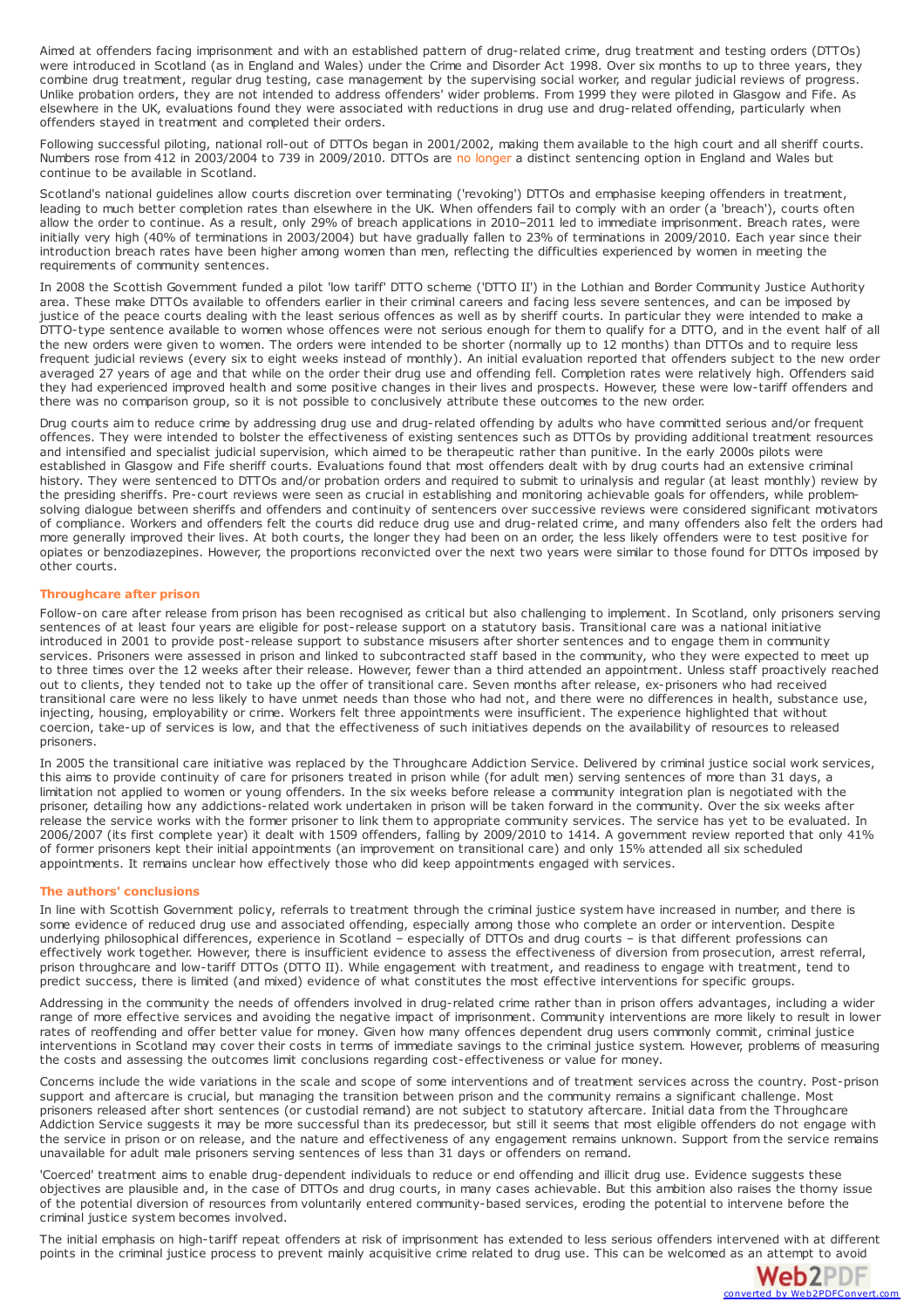Aimed at offenders facing imprisonment and with an established pattern of drug-related crime, drug treatment and testing orders (DTTOs) were introduced in Scotland (as in England and Wales) under the Crime and Disorder Act 1998. Over six months to up to three years, they combine drug treatment, regular drug testing, case management by the supervising social worker, and regular judicial reviews of progress. Unlike probation orders, they are not intended to address offenders' wider problems. From 1999 they were piloted in Glasgow and Fife. As elsewhere in the UK, evaluations found they were associated with reductions in drug use and drug-related offending, particularly when offenders stayed in treatment and completed their orders.

Following successful piloting, national roll-out of DTTOs began in 2001/2002, making them available to the high court and all sheriff courts. Numbers rose from 412 in 2003/2004 to 739 in 2009/2010. DTTOs are no longer a distinct sentencing option in England and Wales but continue to be available in Scotland.

Scotland's national guidelines allow courts discretion over terminating ('revoking') DTTOs and emphasise keeping offenders in treatment, leading to much better completion rates than elsewhere in the UK. When offenders fail to comply with an order (a 'breach'), courts often allow the order to continue. As a result, only 29% of breach applications in 2010–2011 led to immediate imprisonment. Breach rates, were initially very high (40% of terminations in 2003/2004) but have gradually fallen to 23% of terminations in 2009/2010. Each year since their introduction breach rates have been higher among women than men, reflecting the difficulties experienced by women in meeting the requirements of community sentences.

In 2008 the Scottish Government funded a pilot 'low tariff' DTTO scheme ('DTTO II') in the Lothian and Border Community Justice Authority area. These make DTTOs available to offenders earlier in their criminal careers and facing less severe sentences, and can be imposed by justice of the peace courts dealing with the least serious offences as well as by sheriff courts. In particular they were intended to make a DTTO-type sentence available to women whose offences were not serious enough for them to qualify for a DTTO, and in the event half of all the new orders were given to women. The orders were intended to be shorter (normally up to 12 months) than DTTOs and to require less frequent judicial reviews (every six to eight weeks instead of monthly). An initial evaluation reported that offenders subject to the new order averaged 27 years of age and that while on the order their drug use and offending fell. Completion rates were relatively high. Offenders said they had experienced improved health and some positive changes in their lives and prospects. However, these were low-tariff offenders and there was no comparison group, so it is not possible to conclusively attribute these outcomes to the new order.

Drug courts aim to reduce crime by addressing drug use and drug-related offending by adults who have committed serious and/or frequent offences. They were intended to bolster the effectiveness of existing sentences such as DTTOs by providing additional treatment resources and intensified and specialist judicial supervision, which aimed to be therapeutic rather than punitive. In the early 2000s pilots were established in Glasgow and Fife sheriff courts. Evaluations found that most offenders dealt with by drug courts had an extensive criminal history. They were sentenced to DTTOs and/or probation orders and required to submit to urinalysis and regular (at least monthly) review by the presiding sheriffs. Pre-court reviews were seen as crucial in establishing and monitoring achievable goals for offenders, while problemsolving dialogue between sheriffs and offenders and continuity of sentencers over successive reviews were considered significant motivators<br>of compliance. Workers and offenders felt the courts did reduce drug use and drugmore generally improved their lives. At both courts, the longer they had been on an order, the less likely offenders were to test positive for opiates or benzodiazepines. However, the proportions reconvicted over the next two years were similar to those found for DTTOs imposed by other courts.

## **Throughcare after prison**

Follow-on care after release from prison has been recognised as critical but also challenging to implement. In Scotland, only prisoners serving sentences of at least four years are eligible for post-release support on a statutory basis. Transitional care was a national initiative introduced in 2001 to provide post-release support to substance misusers after shorter sentences and to engage them in community services. Prisoners were assessed in prison and linked to subcontracted staff based in the community, who they were expected to meet up to three times over the 12 weeks after their release. However, fewer than a third attended an appointment. Unless staff proactively reached out to clients, they tended not to take up the offer of transitional care. Seven months after release, ex-prisoners who had received transitional care were no less likely to have unmet needs than those who had not, and there were no differences in health, substance use, injecting, housing, employability or crime. Workers felt three appointments were insufficient. The experience highlighted that without coercion, take-up of services is low, and that the effectiveness of such initiatives depends on the availability of resources to released prisoners.

In 2005 the transitional care initiative was replaced by the Throughcare Addiction Service. Delivered by criminal justice social work services, this aims to provide continuity of care for prisoners treated in prison while (for adult men) serving sentences of more than 31 days, a limitation not applied to women or young offenders. In the six weeks before release a community integration plan is negotiated with the prisoner, detailing how any addictions-related work undertaken in prison will be taken forward in the community. Over the six weeks after release the service works with the former prisoner to link them to appropriate community services. The service has yet to be evaluated. In 2006/2007 (its first complete year) it dealt with 1509 offenders, falling by 2009/2010 to 1414. A government review reported that only 41% of former prisoners kept their initial appointments (an improvement on transitional care) and only 15% attended all six scheduled appointments. It remains unclear how effectively those who did keep appointments engaged with services.

#### **The authors' conclusions**

In line with Scottish Government policy, referrals to treatment through the criminal justice system have increased in number, and there is some evidence of reduced drug use and associated offending, especially among those who complete an order or intervention. Despite underlying philosophical differences, experience in Scotland – especially of DTTOs and drug courts – is that different professions can effectively work together. However, there is insufficient evidence to assess the effectiveness of diversion from prosecution, arrest referral, prison throughcare and low-tariff DTTOs (DTTO II). While engagement with treatment, and readiness to engage with treatment, tend to predict success, there is limited (and mixed) evidence of what constitutes the most effective interventions for specific groups.

Addressing in the community the needs of offenders involved in drug-related crime rather than in prison offers advantages, including a wider range of more effective services and avoiding the negative impact of imprisonment. Community interventions are more likely to result in lower rates of reoffending and offer better value for money. Given how many offences dependent drug users commonly commit, criminal justice interventions in Scotland may cover their costs in terms of immediate savings to the criminal justice system. However, problems of measuring the costs and assessing the outcomes limit conclusions regarding cost-effectiveness or value for money.

Concerns include the wide variations in the scale and scope of some interventions and of treatment services across the country. Post-prison support and aftercare is crucial, but managing the transition between prison and the community remains a significant challenge. Most prisoners released after short sentences (or custodial remand) are not subject to statutory aftercare. Initial data from the Throughcare Addiction Service suggests it may be more successful than its predecessor, but still it seems that most eligible offenders do not engage with the service in prison or on release, and the nature and effectiveness of any engagement remains unknown. Support from the service remains unavailable for adult male prisoners serving sentences of less than 31 days or offenders on remand.

'Coerced' treatment aims to enable drug-dependent individuals to reduce or end offending and illicit drug use. Evidence suggests these objectives are plausible and, in the case of DTTOs and drug courts, in many cases achievable. But this ambition also raises the thorny issue of the potential diversion of resources from voluntarily entered community-based services, eroding the potential to intervene before the criminal justice system becomes involved.

The initial emphasis on high-tariff repeat offenders at risk of imprisonment has extended to less serious offenders intervened with at different points in the criminal justice process to prevent mainly acquisitive crime related to drug use. This can be welcomed as an attempt to avoid